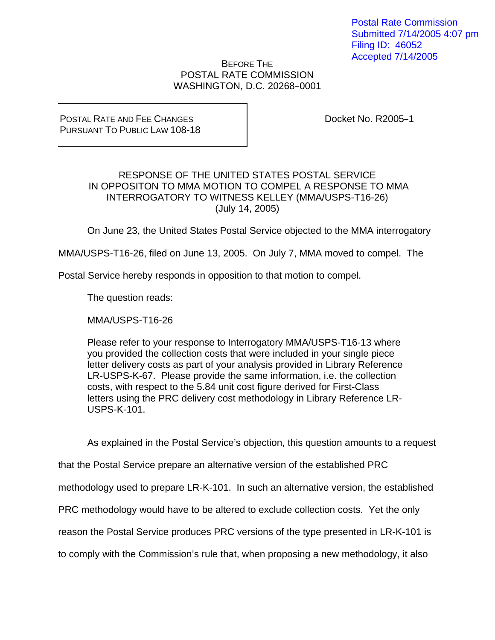## BEFORE THE POSTAL RATE COMMISSION WASHINGTON, D.C. 20268-0001

POSTAL RATE AND FEE CHANGES PURSUANT TO PUBLIC LAW 108-18 Docket No. R2005-1

## RESPONSE OF THE UNITED STATES POSTAL SERVICE IN OPPOSITON TO MMA MOTION TO COMPEL A RESPONSE TO MMA INTERROGATORY TO WITNESS KELLEY (MMA/USPS-T16-26) (July 14, 2005)

On June 23, the United States Postal Service objected to the MMA interrogatory

MMA/USPS-T16-26, filed on June 13, 2005. On July 7, MMA moved to compel. The

Postal Service hereby responds in opposition to that motion to compel.

The question reads:

MMA/USPS-T16-26

Please refer to your response to Interrogatory MMA/USPS-T16-13 where you provided the collection costs that were included in your single piece letter delivery costs as part of your analysis provided in Library Reference LR-USPS-K-67. Please provide the same information, i.e. the collection costs, with respect to the 5.84 unit cost figure derived for First-Class letters using the PRC delivery cost methodology in Library Reference LR-USPS-K-101.

As explained in the Postal Service's objection, this question amounts to a request

that the Postal Service prepare an alternative version of the established PRC

methodology used to prepare LR-K-101. In such an alternative version, the established

PRC methodology would have to be altered to exclude collection costs. Yet the only

reason the Postal Service produces PRC versions of the type presented in LR-K-101 is

to comply with the Commission's rule that, when proposing a new methodology, it also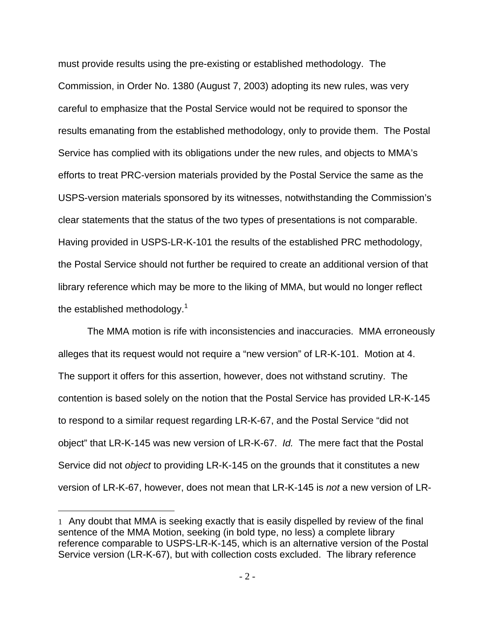must provide results using the pre-existing or established methodology. The Commission, in Order No. 1380 (August 7, 2003) adopting its new rules, was very careful to emphasize that the Postal Service would not be required to sponsor the results emanating from the established methodology, only to provide them. The Postal Service has complied with its obligations under the new rules, and objects to MMA's efforts to treat PRC-version materials provided by the Postal Service the same as the USPS-version materials sponsored by its witnesses, notwithstanding the Commission's clear statements that the status of the two types of presentations is not comparable. Having provided in USPS-LR-K-101 the results of the established PRC methodology, the Postal Service should not further be required to create an additional version of that library reference which may be more to the liking of MMA, but would no longer reflect the established methodology.<sup>1</sup>

 The MMA motion is rife with inconsistencies and inaccuracies. MMA erroneously alleges that its request would not require a "new version" of LR-K-101. Motion at 4. The support it offers for this assertion, however, does not withstand scrutiny. The contention is based solely on the notion that the Postal Service has provided LR-K-145 to respond to a similar request regarding LR-K-67, and the Postal Service "did not object" that LR-K-145 was new version of LR-K-67. *Id.* The mere fact that the Postal Service did not *object* to providing LR-K-145 on the grounds that it constitutes a new version of LR-K-67, however, does not mean that LR-K-145 is *not* a new version of LR-

 $\overline{a}$ 

<sup>1</sup> Any doubt that MMA is seeking exactly that is easily dispelled by review of the final sentence of the MMA Motion, seeking (in bold type, no less) a complete library reference comparable to USPS-LR-K-145, which is an alternative version of the Postal Service version (LR-K-67), but with collection costs excluded. The library reference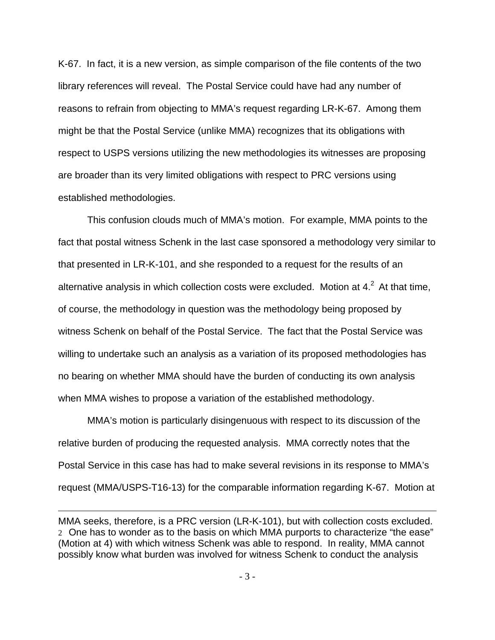K-67. In fact, it is a new version, as simple comparison of the file contents of the two library references will reveal. The Postal Service could have had any number of reasons to refrain from objecting to MMA's request regarding LR-K-67. Among them might be that the Postal Service (unlike MMA) recognizes that its obligations with respect to USPS versions utilizing the new methodologies its witnesses are proposing are broader than its very limited obligations with respect to PRC versions using established methodologies.

 This confusion clouds much of MMA's motion. For example, MMA points to the fact that postal witness Schenk in the last case sponsored a methodology very similar to that presented in LR-K-101, and she responded to a request for the results of an alternative analysis in which collection costs were excluded. Motion at  $4.2<sup>2</sup>$  At that time, of course, the methodology in question was the methodology being proposed by witness Schenk on behalf of the Postal Service. The fact that the Postal Service was willing to undertake such an analysis as a variation of its proposed methodologies has no bearing on whether MMA should have the burden of conducting its own analysis when MMA wishes to propose a variation of the established methodology.

 MMA's motion is particularly disingenuous with respect to its discussion of the relative burden of producing the requested analysis. MMA correctly notes that the Postal Service in this case has had to make several revisions in its response to MMA's request (MMA/USPS-T16-13) for the comparable information regarding K-67. Motion at

1

MMA seeks, therefore, is a PRC version (LR-K-101), but with collection costs excluded. 2 One has to wonder as to the basis on which MMA purports to characterize "the ease" (Motion at 4) with which witness Schenk was able to respond. In reality, MMA cannot possibly know what burden was involved for witness Schenk to conduct the analysis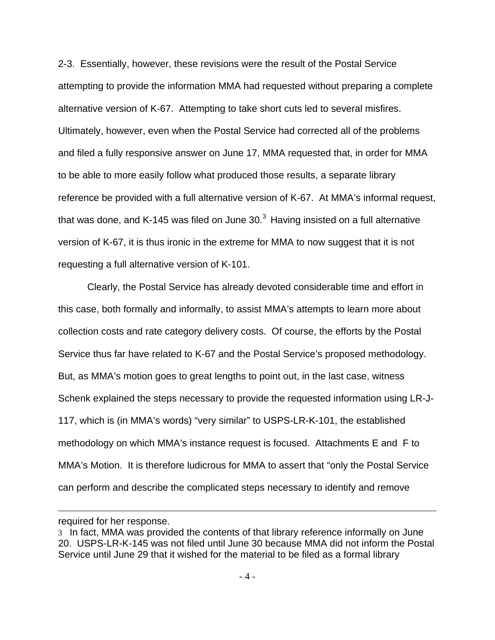2-3. Essentially, however, these revisions were the result of the Postal Service attempting to provide the information MMA had requested without preparing a complete alternative version of K-67. Attempting to take short cuts led to several misfires. Ultimately, however, even when the Postal Service had corrected all of the problems and filed a fully responsive answer on June 17, MMA requested that, in order for MMA to be able to more easily follow what produced those results, a separate library reference be provided with a full alternative version of K-67. At MMA's informal request, that was done, and K-145 was filed on June  $30<sup>3</sup>$  Having insisted on a full alternative version of K-67, it is thus ironic in the extreme for MMA to now suggest that it is not requesting a full alternative version of K-101.

 Clearly, the Postal Service has already devoted considerable time and effort in this case, both formally and informally, to assist MMA's attempts to learn more about collection costs and rate category delivery costs. Of course, the efforts by the Postal Service thus far have related to K-67 and the Postal Service's proposed methodology. But, as MMA's motion goes to great lengths to point out, in the last case, witness Schenk explained the steps necessary to provide the requested information using LR-J-117, which is (in MMA's words) "very similar" to USPS-LR-K-101, the established methodology on which MMA's instance request is focused. Attachments E and F to MMA's Motion. It is therefore ludicrous for MMA to assert that "only the Postal Service can perform and describe the complicated steps necessary to identify and remove

 $\overline{a}$ 

required for her response.

<sup>3</sup> In fact, MMA was provided the contents of that library reference informally on June 20. USPS-LR-K-145 was not filed until June 30 because MMA did not inform the Postal Service until June 29 that it wished for the material to be filed as a formal library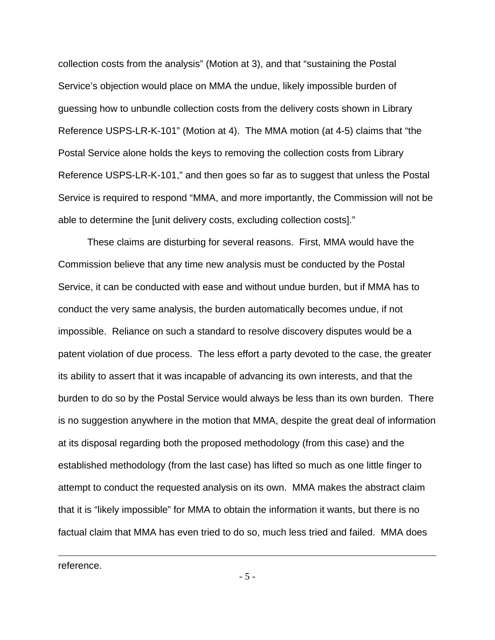collection costs from the analysis" (Motion at 3), and that "sustaining the Postal Service's objection would place on MMA the undue, likely impossible burden of guessing how to unbundle collection costs from the delivery costs shown in Library Reference USPS-LR-K-101" (Motion at 4). The MMA motion (at 4-5) claims that "the Postal Service alone holds the keys to removing the collection costs from Library Reference USPS-LR-K-101," and then goes so far as to suggest that unless the Postal Service is required to respond "MMA, and more importantly, the Commission will not be able to determine the [unit delivery costs, excluding collection costs]."

 These claims are disturbing for several reasons. First, MMA would have the Commission believe that any time new analysis must be conducted by the Postal Service, it can be conducted with ease and without undue burden, but if MMA has to conduct the very same analysis, the burden automatically becomes undue, if not impossible. Reliance on such a standard to resolve discovery disputes would be a patent violation of due process. The less effort a party devoted to the case, the greater its ability to assert that it was incapable of advancing its own interests, and that the burden to do so by the Postal Service would always be less than its own burden. There is no suggestion anywhere in the motion that MMA, despite the great deal of information at its disposal regarding both the proposed methodology (from this case) and the established methodology (from the last case) has lifted so much as one little finger to attempt to conduct the requested analysis on its own. MMA makes the abstract claim that it is "likely impossible" for MMA to obtain the information it wants, but there is no factual claim that MMA has even tried to do so, much less tried and failed. MMA does

reference.

 $\overline{a}$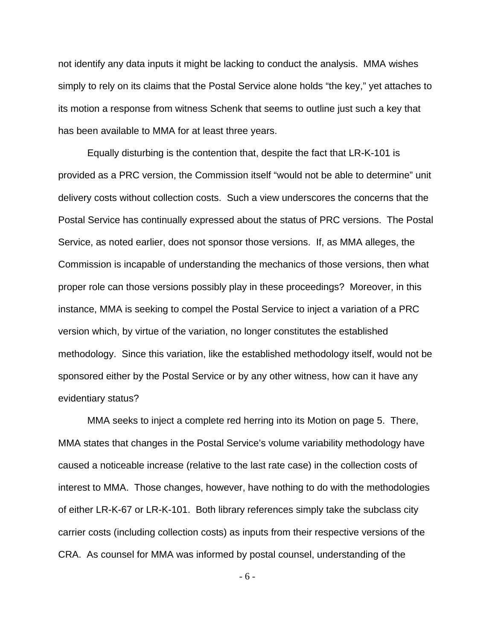not identify any data inputs it might be lacking to conduct the analysis. MMA wishes simply to rely on its claims that the Postal Service alone holds "the key," yet attaches to its motion a response from witness Schenk that seems to outline just such a key that has been available to MMA for at least three years.

 Equally disturbing is the contention that, despite the fact that LR-K-101 is provided as a PRC version, the Commission itself "would not be able to determine" unit delivery costs without collection costs. Such a view underscores the concerns that the Postal Service has continually expressed about the status of PRC versions. The Postal Service, as noted earlier, does not sponsor those versions. If, as MMA alleges, the Commission is incapable of understanding the mechanics of those versions, then what proper role can those versions possibly play in these proceedings? Moreover, in this instance, MMA is seeking to compel the Postal Service to inject a variation of a PRC version which, by virtue of the variation, no longer constitutes the established methodology. Since this variation, like the established methodology itself, would not be sponsored either by the Postal Service or by any other witness, how can it have any evidentiary status?

 MMA seeks to inject a complete red herring into its Motion on page 5. There, MMA states that changes in the Postal Service's volume variability methodology have caused a noticeable increase (relative to the last rate case) in the collection costs of interest to MMA. Those changes, however, have nothing to do with the methodologies of either LR-K-67 or LR-K-101. Both library references simply take the subclass city carrier costs (including collection costs) as inputs from their respective versions of the CRA. As counsel for MMA was informed by postal counsel, understanding of the

- 6 -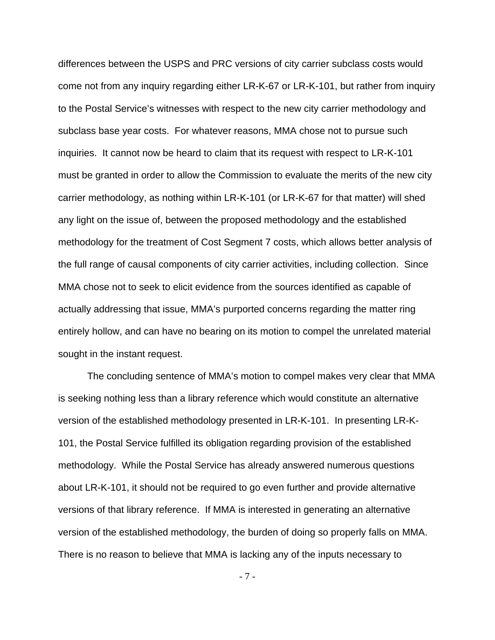differences between the USPS and PRC versions of city carrier subclass costs would come not from any inquiry regarding either LR-K-67 or LR-K-101, but rather from inquiry to the Postal Service's witnesses with respect to the new city carrier methodology and subclass base year costs. For whatever reasons, MMA chose not to pursue such inquiries. It cannot now be heard to claim that its request with respect to LR-K-101 must be granted in order to allow the Commission to evaluate the merits of the new city carrier methodology, as nothing within LR-K-101 (or LR-K-67 for that matter) will shed any light on the issue of, between the proposed methodology and the established methodology for the treatment of Cost Segment 7 costs, which allows better analysis of the full range of causal components of city carrier activities, including collection. Since MMA chose not to seek to elicit evidence from the sources identified as capable of actually addressing that issue, MMA's purported concerns regarding the matter ring entirely hollow, and can have no bearing on its motion to compel the unrelated material sought in the instant request.

 The concluding sentence of MMA's motion to compel makes very clear that MMA is seeking nothing less than a library reference which would constitute an alternative version of the established methodology presented in LR-K-101. In presenting LR-K-101, the Postal Service fulfilled its obligation regarding provision of the established methodology. While the Postal Service has already answered numerous questions about LR-K-101, it should not be required to go even further and provide alternative versions of that library reference. If MMA is interested in generating an alternative version of the established methodology, the burden of doing so properly falls on MMA. There is no reason to believe that MMA is lacking any of the inputs necessary to

- 7 -